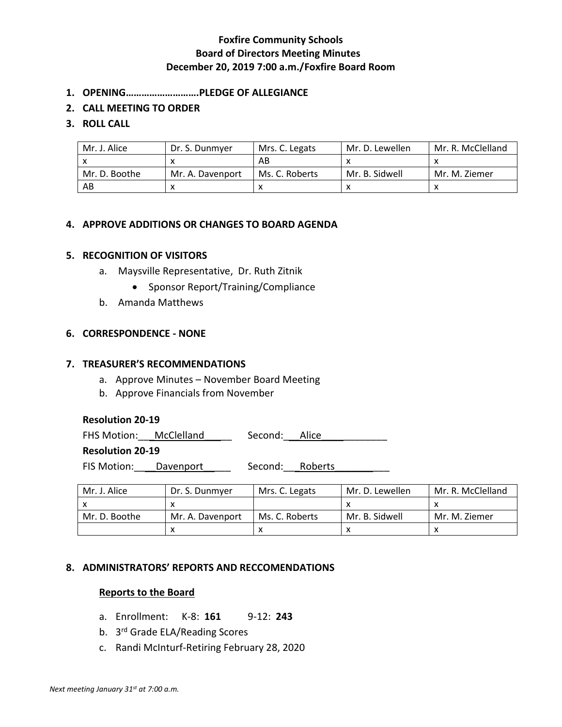# **Foxfire Community Schools Board of Directors Meeting Minutes December 20, 2019 7:00 a.m./Foxfire Board Room**

- **1. OPENING……………………….PLEDGE OF ALLEGIANCE**
- **2. CALL MEETING TO ORDER**
- **3. ROLL CALL**

| Mr. J. Alice  | Dr. S. Dunmyer   | Mrs. C. Legats | Mr. D. Lewellen | Mr. R. McClelland |
|---------------|------------------|----------------|-----------------|-------------------|
|               |                  | AB             |                 |                   |
| Mr. D. Boothe | Mr. A. Davenport | Ms. C. Roberts | Mr. B. Sidwell  | Mr. M. Ziemer     |
| AB            |                  |                |                 |                   |

## **4. APPROVE ADDITIONS OR CHANGES TO BOARD AGENDA**

## **5. RECOGNITION OF VISITORS**

- a. Maysville Representative, Dr. Ruth Zitnik
	- Sponsor Report/Training/Compliance
- b. Amanda Matthews

# **6. CORRESPONDENCE - NONE**

## **7. TREASURER'S RECOMMENDATIONS**

- a. Approve Minutes November Board Meeting
- b. Approve Financials from November

## **Resolution 20-19**

FHS Motion:\_\_\_McClelland\_\_\_\_\_ Second:\_\_\_Alice\_\_\_\_\_\_\_\_\_\_\_\_

## **Resolution 20-19**

FIS Motion: <u>Davenport</u> Second: Roberts

| Mr. J. Alice  | Dr. S. Dunmyer   | Mrs. C. Legats | Mr. D. Lewellen | Mr. R. McClelland |
|---------------|------------------|----------------|-----------------|-------------------|
|               |                  |                |                 |                   |
| Mr. D. Boothe | Mr. A. Davenport | Ms. C. Roberts | Mr. B. Sidwell  | Mr. M. Ziemer     |
|               |                  |                |                 |                   |

# **8. ADMINISTRATORS' REPORTS AND RECCOMENDATIONS**

## **Reports to the Board**

- a. Enrollment: K-8: **161** 9-12: **243**
- b. 3<sup>rd</sup> Grade ELA/Reading Scores
- c. Randi McInturf-Retiring February 28, 2020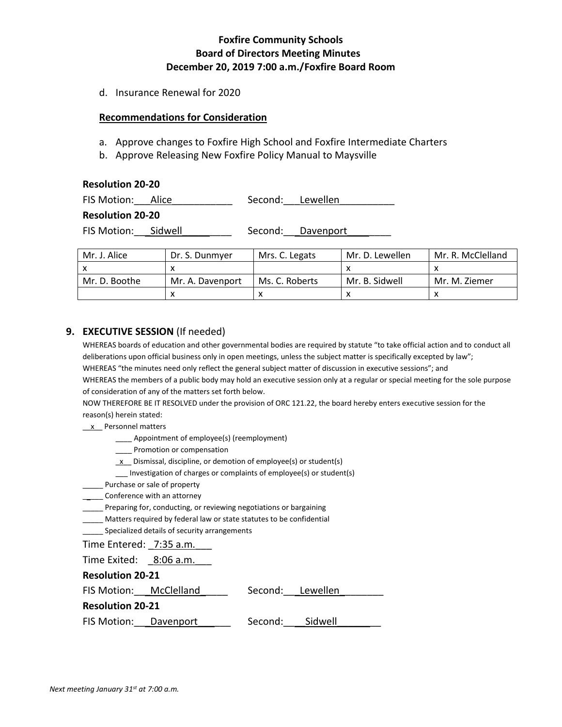# **Foxfire Community Schools Board of Directors Meeting Minutes December 20, 2019 7:00 a.m./Foxfire Board Room**

d. Insurance Renewal for 2020

#### **Recommendations for Consideration**

- a. Approve changes to Foxfire High School and Foxfire Intermediate Charters
- b. Approve Releasing New Foxfire Policy Manual to Maysville

| <b>Resolution 20-20</b> |  |                  |                   |  |  |
|-------------------------|--|------------------|-------------------|--|--|
| FIS Motion: Alice       |  | Second: Lewellen |                   |  |  |
| <b>Resolution 20-20</b> |  |                  |                   |  |  |
| FIS Motion: Sidwell     |  |                  | Second: Davenport |  |  |

| Mr. J. Alice  | Dr. S. Dunmyer   | Mrs. C. Legats | Mr. D. Lewellen | Mr. R. McClelland |
|---------------|------------------|----------------|-----------------|-------------------|
|               |                  |                |                 |                   |
| Mr. D. Boothe | Mr. A. Davenport | Ms. C. Roberts | Mr. B. Sidwell  | Mr. M. Ziemer     |
|               |                  |                |                 |                   |

#### **9. EXECUTIVE SESSION** (If needed)

WHEREAS boards of education and other governmental bodies are required by statute "to take official action and to conduct all deliberations upon official business only in open meetings, unless the subject matter is specifically excepted by law"; WHEREAS "the minutes need only reflect the general subject matter of discussion in executive sessions"; and WHEREAS the members of a public body may hold an executive session only at a regular or special meeting for the sole purpose of consideration of any of the matters set forth below.

NOW THEREFORE BE IT RESOLVED under the provision of ORC 121.22, the board hereby enters executive session for the reason(s) herein stated:

- x Personnel matters
	- \_\_\_\_ Appointment of employee(s) (reemployment)
	- \_\_\_\_ Promotion or compensation
	- $\underline{x}$  Dismissal, discipline, or demotion of employee(s) or student(s)
	- \_\_\_ Investigation of charges or complaints of employee(s) or student(s)
- \_\_\_\_\_ Purchase or sale of property
- \_\_\_\_\_\_ Conference with an attorney
- \_\_\_\_\_ Preparing for, conducting, or reviewing negotiations or bargaining
- \_\_\_\_\_ Matters required by federal law or state statutes to be confidential
- \_\_\_\_\_ Specialized details of security arrangements

Time Entered: 7:35 a.m.

Time Exited: 8:06 a.m.

**Resolution 20-21**

| FIS Motion:             | McClelland | Second: | Lewellen |
|-------------------------|------------|---------|----------|
| <b>Resolution 20-21</b> |            |         |          |
| FIS Motion:             | Davenport  | Second: | Sidwell  |